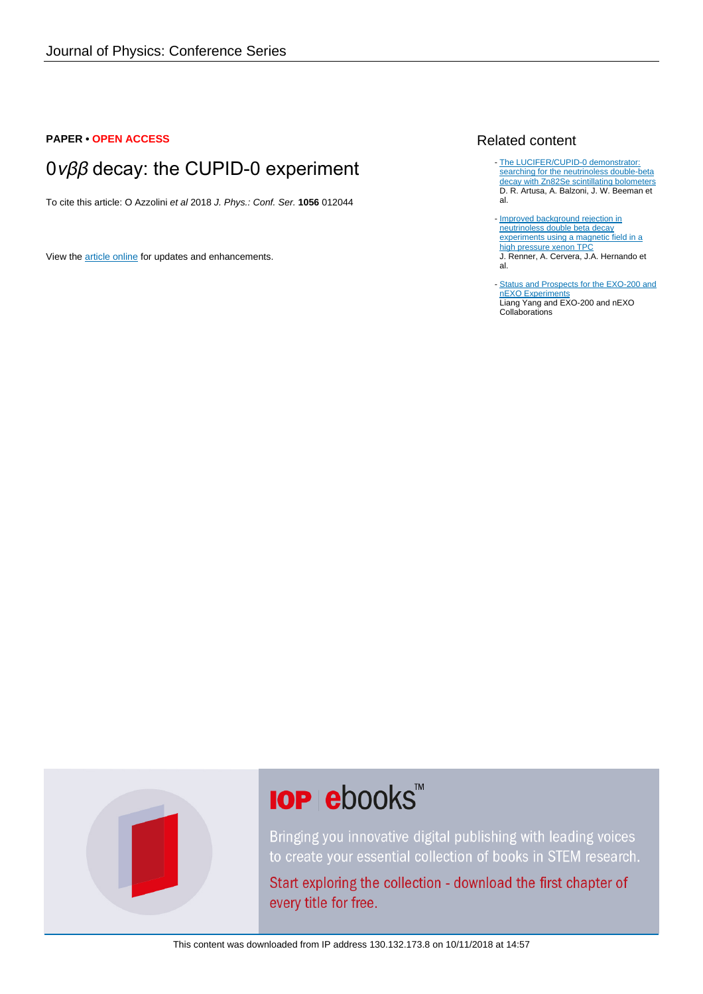#### **PAPER • OPEN ACCESS**

## 0νββ decay: the CUPID-0 experiment

To cite this article: O Azzolini et al 2018 J. Phys.: Conf. Ser. **1056** 012044

View the [article online](https://doi.org/10.1088/1742-6596/1056/1/012044) for updates and enhancements.

#### Related content

- [The LUCIFER/CUPID-0 demonstrator:](http://iopscience.iop.org/article/10.1088/1742-6596/888/1/012077) [searching for the neutrinoless double-beta](http://iopscience.iop.org/article/10.1088/1742-6596/888/1/012077) [decay with Zn82Se scintillating bolometers](http://iopscience.iop.org/article/10.1088/1742-6596/888/1/012077) D. R. Artusa, A. Balzoni, J. W. Beeman et al.
- [Improved background rejection in](http://iopscience.iop.org/article/10.1088/1748-0221/10/12/P12020) [neutrinoless double beta decay](http://iopscience.iop.org/article/10.1088/1748-0221/10/12/P12020) [experiments using a magnetic field in a](http://iopscience.iop.org/article/10.1088/1748-0221/10/12/P12020) [high pressure xenon TPC](http://iopscience.iop.org/article/10.1088/1748-0221/10/12/P12020) J. Renner, A. Cervera, J.A. Hernando et al.
- [Status and Prospects for the EXO-200 and](http://iopscience.iop.org/article/10.1088/1742-6596/888/1/012032) [nEXO Experiments](http://iopscience.iop.org/article/10.1088/1742-6596/888/1/012032) Liang Yang and EXO-200 and nEXO Collaborations



# **IOP ebooks**™

Bringing you innovative digital publishing with leading voices to create your essential collection of books in STEM research.

Start exploring the collection - download the first chapter of every title for free.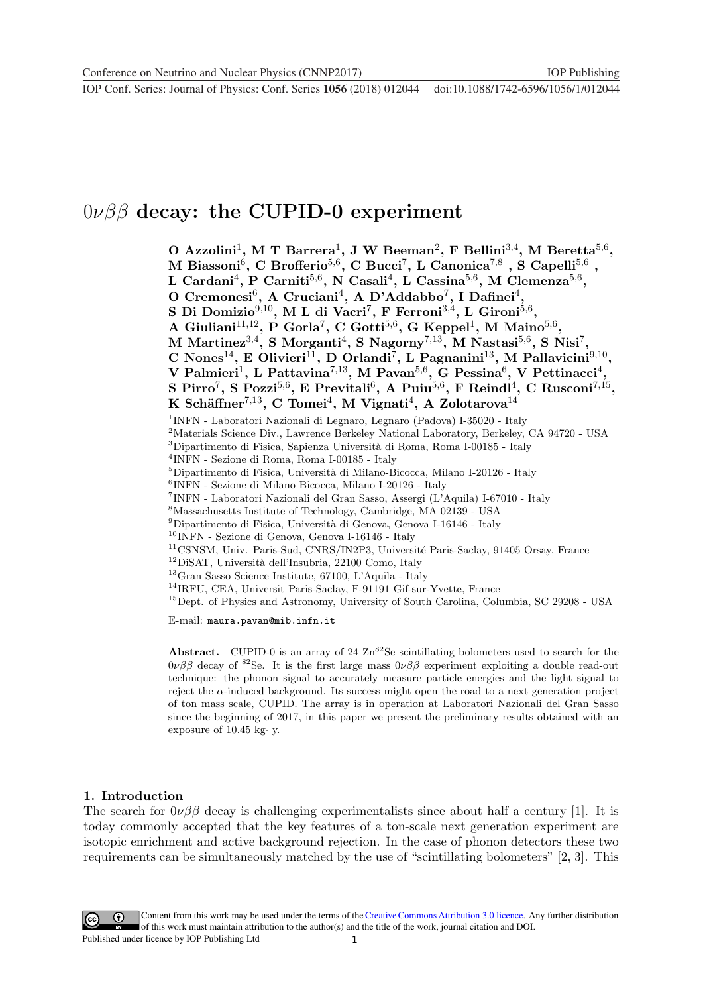**1234567890** ''"" IOP Conf. Series: Journal of Physics: Conf. Series **1056** (2018) 012044 doi :10.1088/1742-6596/1056/1/012044

### 0νββ **decay: the CUPID-0 experiment**

**O Azzolini**1**, M T Barrera**1**, J W Beeman**2**, F Bellini**3,4**, M Beretta**5,6**, M** Biassoni<sup>6</sup>, C Brofferio<sup>5,6</sup>, C Bucci<sup>7</sup>, L Canonica<sup>7,8</sup>, S Capelli<sup>5,6</sup>, **L Cardani**4**, P Carniti**5,6**, N Casali**4**, L Cassina**5,6**, M Clemenza**5,6**, O Cremonesi**6**, A Cruciani**4**, A D'Addabbo**7**, I Dafinei**4**, S Di Domizio**9,10**, M L di Vacri**7**, F Ferroni**3,4**, L Gironi**5,6**, A Giuliani**11,12**, P Gorla**7**, C Gotti**5,6**, G Keppel**1**, M Maino**5,6**, M Martinez**3,4**, S Morganti**4**, S Nagorny**7,13**, M Nastasi**5,6**, S Nisi**7**, C Nones**14**, E Olivieri**11**, D Orlandi**7**, L Pagnanini**13**, M Pallavicini**9,10**, V** Palmieri<sup>1</sup>, L Pattavina<sup>7,13</sup>, M Pavan<sup>5,6</sup>, G Pessina<sup>6</sup>, V Pettinacci<sup>4</sup>, **S Pirro**7**, S Pozzi**5,6**, E Previtali**6**, A Puiu**5,6**, F Reindl**4**, C Rusconi**7,15**, K Sch¨affner**7,13**, C Tomei**4**, M Vignati**4**, A Zolotarova**<sup>14</sup> <sup>1</sup>INFN - Laboratori Nazionali di Legnaro, Legnaro (Padova) I-35020 - Italy <sup>2</sup>Materials Science Div., Lawrence Berkeley National Laboratory, Berkeley, CA 94720 - USA  ${}^{3}$ Dipartimento di Fisica, Sapienza Università di Roma, Roma I-00185 - Italy <sup>4</sup>INFN - Sezione di Roma, Roma I-00185 - Italy  $^{5}$ Dipartimento di Fisica, Università di Milano-Bicocca, Milano I-20126 - Italy <sup>6</sup>INFN - Sezione di Milano Bicocca, Milano I-20126 - Italy <sup>7</sup>INFN - Laboratori Nazionali del Gran Sasso, Assergi (L'Aquila) I-67010 - Italy <sup>8</sup>Massachusetts Institute of Technology, Cambridge, MA 02139 - USA  $^{9}$ Dipartimento di Fisica, Università di Genova, Genova I-16146 - Italy <sup>10</sup>INFN - Sezione di Genova, Genova I-16146 - Italy <sup>11</sup>CSNSM, Univ. Paris-Sud, CNRS/IN2P3, Université Paris-Saclay, 91405 Orsay, France  $^{12}$ DiSAT, Università dell'Insubria, 22100 Como, Italy <sup>13</sup>Gran Sasso Science Institute, 67100, L'Aquila - Italy <sup>14</sup>IRFU, CEA, Universit Paris-Saclay, F-91191 Gif-sur-Yvette, France <sup>15</sup>Dept. of Physics and Astronomy, University of South Carolina, Columbia, SC 29208 - USA E-mail: maura.pavan@mib.infn.it

**Abstract.** CUPID-0 is an array of 24  $\text{Zn}^{82}\text{Se scintillating bolometers used to search for the}$  $0\nu\beta\beta$  decay of <sup>82</sup>Se. It is the first large mass  $0\nu\beta\beta$  experiment exploiting a double read-out technique: the phonon signal to accurately measure particle energies and the light signal to reject the  $\alpha$ -induced background. Its success might open the road to a next generation project of ton mass scale, CUPID. The array is in operation at Laboratori Nazionali del Gran Sasso since the beginning of 2017, in this paper we present the preliminary results obtained with an exposure of 10.45 kg· y.

#### **1. Introduction**

The search for  $0\nu\beta\beta$  decay is challenging experimentalists since about half a century [1]. It is today commonly accepted that the key features of a ton-scale next generation experiment are isotopic enrichment and active background rejection. In the case of phonon detectors these two requirements can be simultaneously matched by the use of "scintillating bolometers" [2, 3]. This

Content from this work may be used under the terms of the[Creative Commons Attribution 3.0 licence.](http://creativecommons.org/licenses/by/3.0) Any further distribution of this work must maintain attribution to the author(s) and the title of the work, journal citation and DOI.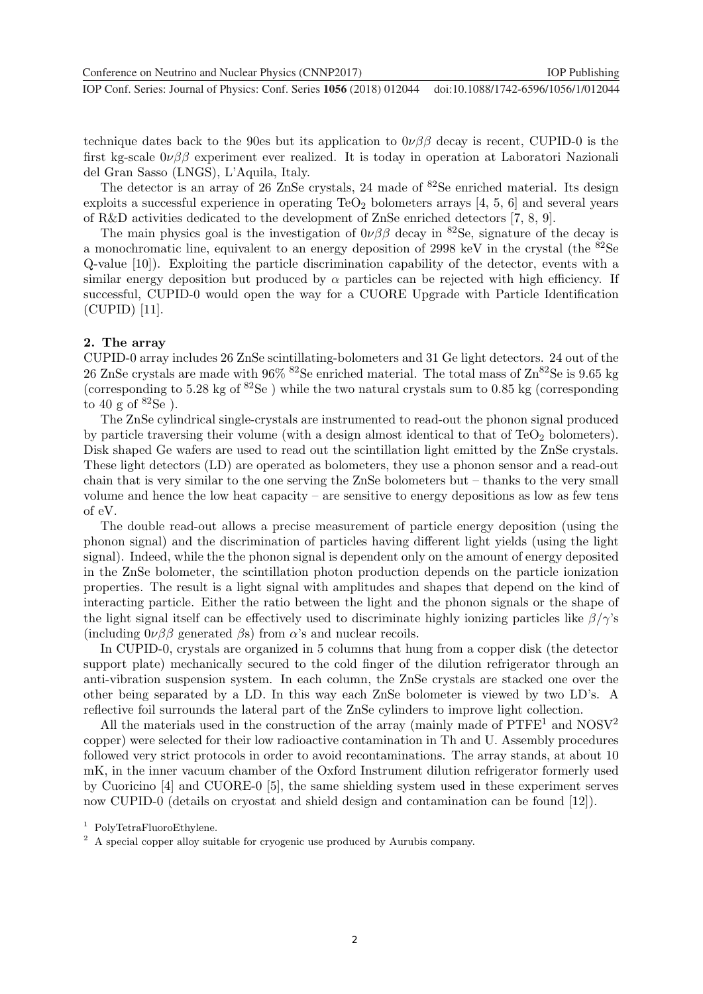**1234567890** ''"" IOP Conf. Series: Journal of Physics: Conf. Series **1056** (2018) 012044 doi :10.1088/1742-6596/1056/1/012044

technique dates back to the 90es but its application to  $0\nu\beta\beta$  decay is recent, CUPID-0 is the first kg-scale  $0\nu\beta\beta$  experiment ever realized. It is today in operation at Laboratori Nazionali del Gran Sasso (LNGS), L'Aquila, Italy.

The detector is an array of 26 ZnSe crystals, 24 made of <sup>82</sup>Se enriched material. Its design exploits a successful experience in operating  $TeO<sub>2</sub>$  bolometers arrays [4, 5, 6] and several years of R&D activities dedicated to the development of ZnSe enriched detectors [7, 8, 9].

The main physics goal is the investigation of  $0\nu\beta\beta$  decay in <sup>82</sup>Se, signature of the decay is a monochromatic line, equivalent to an energy deposition of 2998 keV in the crystal (the <sup>82</sup>Se Q-value [10]). Exploiting the particle discrimination capability of the detector, events with a similar energy deposition but produced by  $\alpha$  particles can be rejected with high efficiency. If successful, CUPID-0 would open the way for a CUORE Upgrade with Particle Identification (CUPID) [11].

#### **2. The array**

CUPID-0 array includes 26 ZnSe scintillating-bolometers and 31 Ge light detectors. 24 out of the 26 ZnSe crystals are made with  $96\%$  <sup>82</sup>Se enriched material. The total mass of  $\text{Zn}^{\text{82}}\text{Se}$  is 9.65 kg (corresponding to 5.28 kg of  ${}^{82}Se$ ) while the two natural crystals sum to 0.85 kg (corresponding) to 40 g of  ${}^{82}Se$ ).

The ZnSe cylindrical single-crystals are instrumented to read-out the phonon signal produced by particle traversing their volume (with a design almost identical to that of  $TeO<sub>2</sub>$  bolometers). Disk shaped Ge wafers are used to read out the scintillation light emitted by the ZnSe crystals. These light detectors (LD) are operated as bolometers, they use a phonon sensor and a read-out chain that is very similar to the one serving the ZnSe bolometers but – thanks to the very small volume and hence the low heat capacity – are sensitive to energy depositions as low as few tens of eV.

The double read-out allows a precise measurement of particle energy deposition (using the phonon signal) and the discrimination of particles having different light yields (using the light signal). Indeed, while the the phonon signal is dependent only on the amount of energy deposited in the ZnSe bolometer, the scintillation photon production depends on the particle ionization properties. The result is a light signal with amplitudes and shapes that depend on the kind of interacting particle. Either the ratio between the light and the phonon signals or the shape of the light signal itself can be effectively used to discriminate highly ionizing particles like  $\beta/\gamma$ 's (including  $0\nu\beta\beta$  generated  $\beta$ s) from  $\alpha$ 's and nuclear recoils.

In CUPID-0, crystals are organized in 5 columns that hung from a copper disk (the detector support plate) mechanically secured to the cold finger of the dilution refrigerator through an anti-vibration suspension system. In each column, the ZnSe crystals are stacked one over the other being separated by a LD. In this way each ZnSe bolometer is viewed by two LD's. A reflective foil surrounds the lateral part of the ZnSe cylinders to improve light collection.

All the materials used in the construction of the array (mainly made of  $\text{PTFE}^1$  and  $\text{NOSV}^2$ ) copper) were selected for their low radioactive contamination in Th and U. Assembly procedures followed very strict protocols in order to avoid recontaminations. The array stands, at about 10 mK, in the inner vacuum chamber of the Oxford Instrument dilution refrigerator formerly used by Cuoricino [4] and CUORE-0 [5], the same shielding system used in these experiment serves now CUPID-0 (details on cryostat and shield design and contamination can be found [12]).

<sup>1</sup> PolyTetraFluoroEthylene.

<sup>&</sup>lt;sup>2</sup> A special copper alloy suitable for cryogenic use produced by Aurubis company.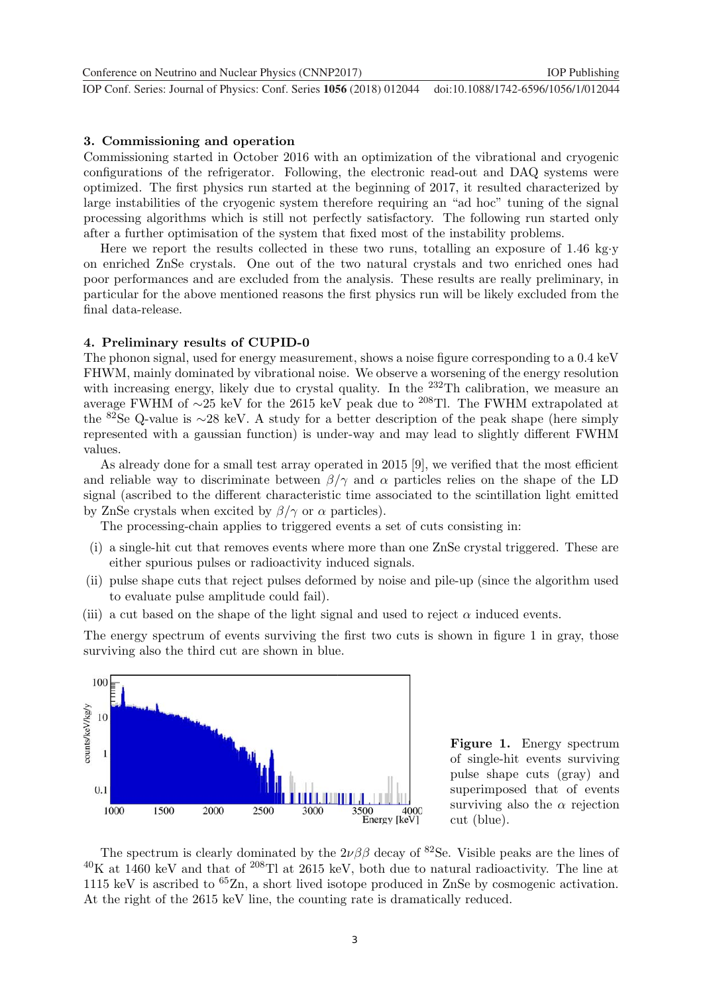**1234567890** ''"" IOP Conf. Series: Journal of Physics: Conf. Series **1056** (2018) 012044 doi :10.1088/1742-6596/1056/1/012044 Conference on Neutrino and Nuclear Physics (CNNP2017) **IOP Publishing** 

#### **3. Commissioning and operation**

Commissioning started in October 2016 with an optimization of the vibrational and cryogenic configurations of the refrigerator. Following, the electronic read-out and DAQ systems were optimized. The first physics run started at the beginning of 2017, it resulted characterized by large instabilities of the cryogenic system therefore requiring an "ad hoc" tuning of the signal processing algorithms which is still not perfectly satisfactory. The following run started only after a further optimisation of the system that fixed most of the instability problems.

Here we report the results collected in these two runs, totalling an exposure of 1.46 kg·y on enriched ZnSe crystals. One out of the two natural crystals and two enriched ones had poor performances and are excluded from the analysis. These results are really preliminary, in particular for the above mentioned reasons the first physics run will be likely excluded from the final data-release.

#### **4. Preliminary results of CUPID-0**

The phonon signal, used for energy measurement, shows a noise figure corresponding to a 0.4 keV FHWM, mainly dominated by vibrational noise. We observe a worsening of the energy resolution with increasing energy, likely due to crystal quality. In the  $^{232}$ Th calibration, we measure an average FWHM of <sup>∼</sup>25 keV for the 2615 keV peak due to <sup>208</sup>Tl. The FWHM extrapolated at the <sup>82</sup>Se Q-value is <sup>∼</sup>28 keV. A study for a better description of the peak shape (here simply represented with a gaussian function) is under-way and may lead to slightly different FWHM values.

As already done for a small test array operated in 2015 [9], we verified that the most efficient and reliable way to discriminate between  $\beta/\gamma$  and  $\alpha$  particles relies on the shape of the LD signal (ascribed to the different characteristic time associated to the scintillation light emitted by ZnSe crystals when excited by  $\beta/\gamma$  or  $\alpha$  particles).

The processing-chain applies to triggered events a set of cuts consisting in:

- (i) a single-hit cut that removes events where more than one ZnSe crystal triggered. These are either spurious pulses or radioactivity induced signals.
- (ii) pulse shape cuts that reject pulses deformed by noise and pile-up (since the algorithm used to evaluate pulse amplitude could fail).
- (iii) a cut based on the shape of the light signal and used to reject  $\alpha$  induced events.

The energy spectrum of events surviving the first two cuts is shown in figure 1 in gray, those surviving also the third cut are shown in blue.



**Figure 1.** Energy spectrum of single-hit events surviving pulse shape cuts (gray) and superimposed that of events surviving also the  $\alpha$  rejection cut (blue).

The spectrum is clearly dominated by the  $2\nu\beta\beta$  decay of <sup>82</sup>Se. Visible peaks are the lines of  $^{40}$ K at 1460 keV and that of  $^{208}$ Tl at 2615 keV, both due to natural radioactivity. The line at 1115 keV is ascribed to  ${}^{65}Zn$ , a short lived isotope produced in ZnSe by cosmogenic activation. At the right of the 2615 keV line, the counting rate is dramatically reduced.